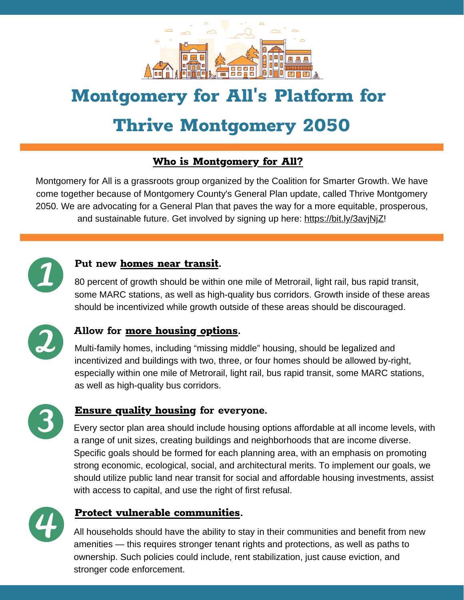

# **Montgomery for All' s Platform for**

# **Thrive Montgomery 2050**

## **Who is Montgomery for All?**

Montgomery for All is a grassroots group organized by the Coalition for Smarter Growth. We have come together because of Montgomery County's General Plan update, called Thrive Montgomery 2050. We are advocating for a General Plan that paves the way for a more equitable, prosperous, and sustainable future. Get involved by signing up here: https://bit.ly/3avjNjZ!



#### **Put new homes near transit.**

80 percent of growth should be within one mile of Metrorail, light rail, bus rapid transit, some MARC stations, as well as high-quality bus corridors. Growth inside of these areas should be incentivized while growth outside of these areas should be discouraged.



#### **Allow for more housing options.**

Multi-family homes, including "missing middle" housing, should be legalized and incentivized and buildings with two, three, or four homes should be allowed by-right, especially within one mile of Metrorail, light rail, bus rapid transit, some MARC stations, as well as high-quality bus corridors.



### **Ensure quality housing for everyone.**

Every sector plan area should include housing options affordable at all income levels, with a range of unit sizes, creating buildings and neighborhoods that are income diverse. Specific goals should be formed for each planning area, with an emphasis on promoting strong economic, ecological, social, and architectural merits. To implement our goals, we should utilize public land near transit for social and affordable housing investments, assist with access to capital, and use the right of first refusal.



#### **Protect vulnerable communities.**

All households should have the ability to stay in their communities and benefit from new amenities — this requires stronger tenant rights and protections, as well as paths to ownership. Such policies could include, rent stabilization, just cause eviction, and stronger code enforcement.